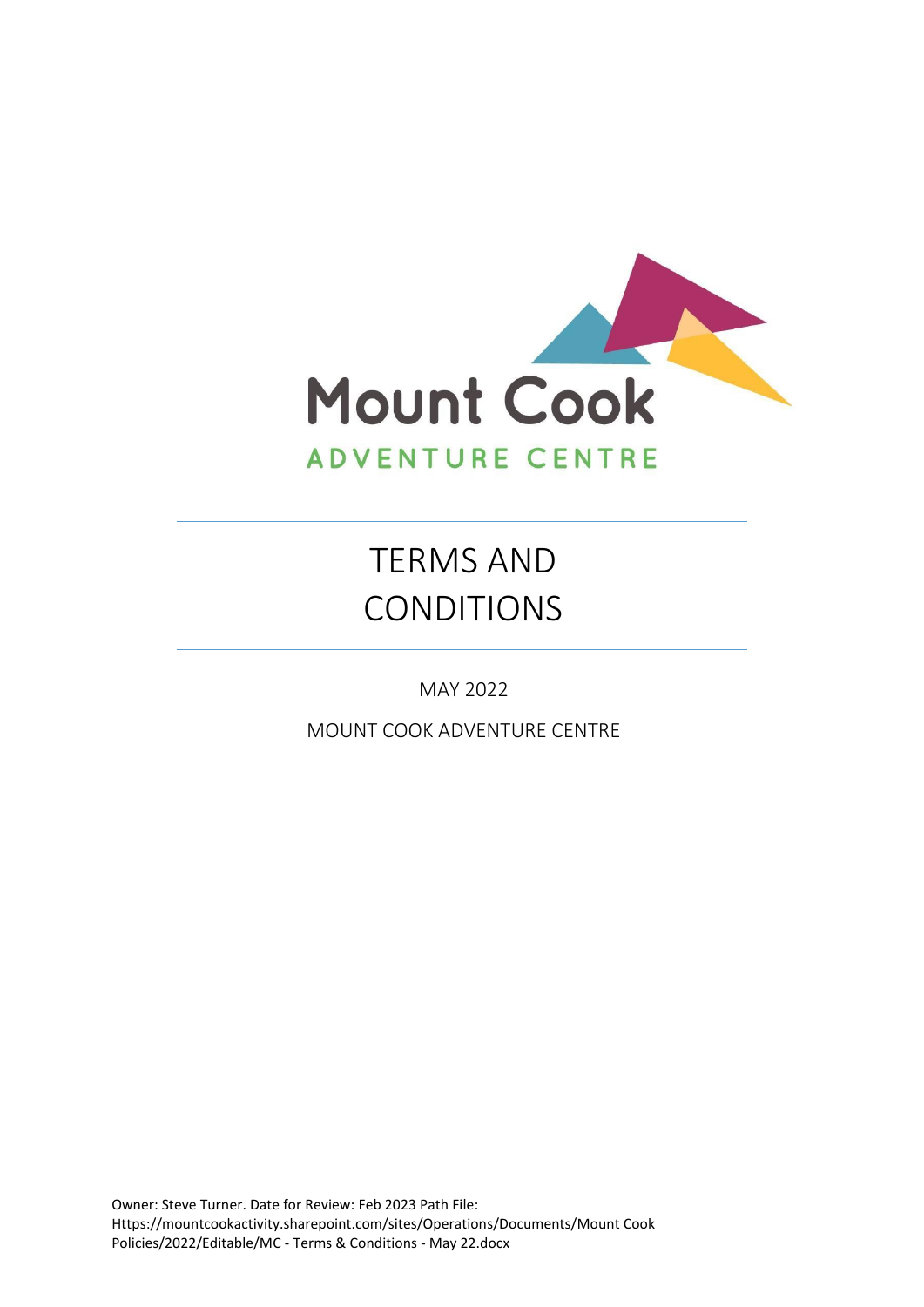

# TERMS AND CONDITIONS

MAY 2022

MOUNT COOK ADVENTURE CENTRE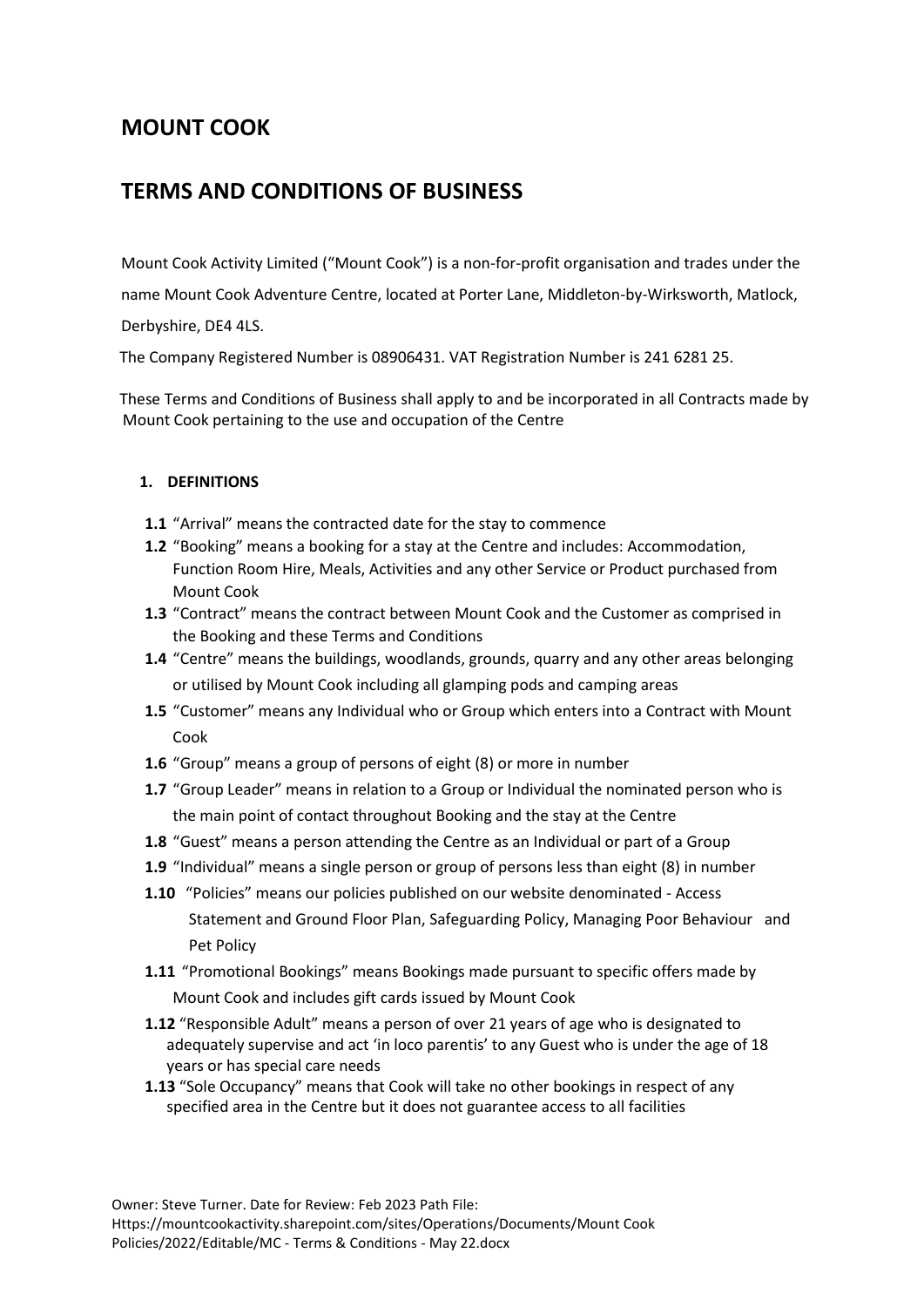# **MOUNT COOK**

# **TERMS AND CONDITIONS OF BUSINESS**

Mount Cook Activity Limited ("Mount Cook") is a non-for-profit organisation and trades under the

name Mount Cook Adventure Centre, located at Porter Lane, Middleton-by-Wirksworth, Matlock,

Derbyshire, DE4 4LS.

The Company Registered Number is 08906431. VAT Registration Number is 241 6281 25.

 These Terms and Conditions of Business shall apply to and be incorporated in all Contracts made by Mount Cook pertaining to the use and occupation of the Centre

# **1. DEFINITIONS**

- **1.1** "Arrival" means the contracted date for the stay to commence
- **1.2** "Booking" means a booking for a stay at the Centre and includes: Accommodation, Function Room Hire, Meals, Activities and any other Service or Product purchased from Mount Cook
- **1.3** "Contract" means the contract between Mount Cook and the Customer as comprised in the Booking and these Terms and Conditions
- **1.4** "Centre" means the buildings, woodlands, grounds, quarry and any other areas belonging or utilised by Mount Cook including all glamping pods and camping areas
- **1.5** "Customer" means any Individual who or Group which enters into a Contract with Mount Cook
- **1.6** "Group" means a group of persons of eight (8) or more in number
- **1.7** "Group Leader" means in relation to a Group or Individual the nominated person who is the main point of contact throughout Booking and the stay at the Centre
- **1.8** "Guest" means a person attending the Centre as an Individual or part of a Group
- **1.9** "Individual" means a single person or group of persons less than eight (8) in number
- **1.10** "Policies" means our policies published on our website denominated Access Statement and Ground Floor Plan, Safeguarding Policy, Managing Poor Behaviour and Pet Policy
- **1.11** "Promotional Bookings" means Bookings made pursuant to specific offers made by Mount Cook and includes gift cards issued by Mount Cook
- **1.12** "Responsible Adult" means a person of over 21 years of age who is designated to adequately supervise and act 'in loco parentis' to any Guest who is under the age of 18 years or has special care needs
- **1.13** "Sole Occupancy" means that Cook will take no other bookings in respect of any specified area in the Centre but it does not guarantee access to all facilities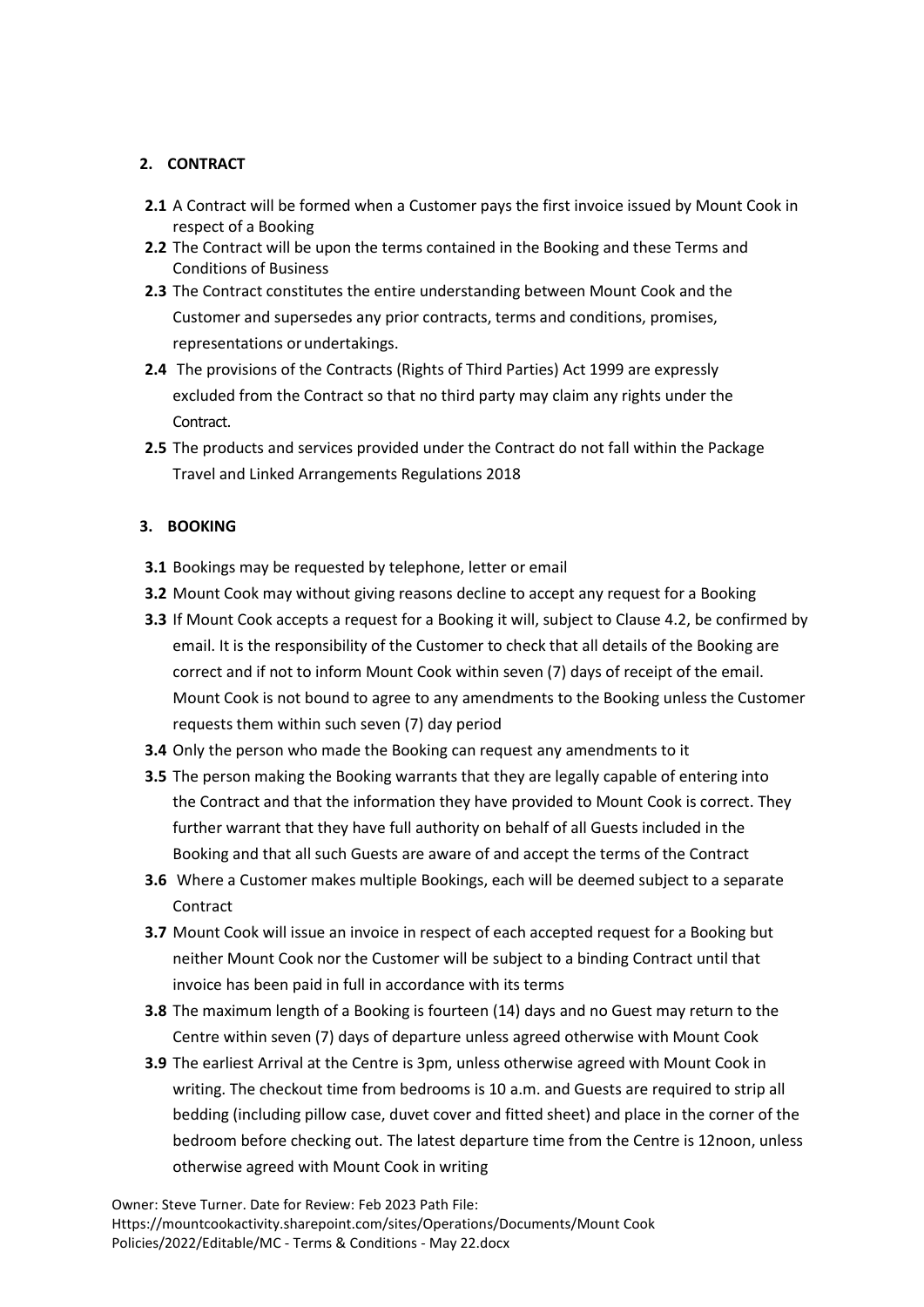# **2. CONTRACT**

- **2.1** A Contract will be formed when a Customer pays the first invoice issued by Mount Cook in respect of a Booking
- **2.2** The Contract will be upon the terms contained in the Booking and these Terms and Conditions of Business
- **2.3** The Contract constitutes the entire understanding between Mount Cook and the Customer and supersedes any prior contracts, terms and conditions, promises, representations orundertakings.
- **2.4** The provisions of the Contracts (Rights of Third Parties) Act 1999 are expressly excluded from the Contract so that no third party may claim any rights under the Contract.
- **2.5** The products and services provided under the Contract do not fall within the Package Travel and Linked Arrangements Regulations 2018

## **3. BOOKING**

- **3.1** Bookings may be requested by telephone, letter or email
- **3.2** Mount Cook may without giving reasons decline to accept any request for a Booking
- **3.3** If Mount Cook accepts a request for a Booking it will, subject to Clause 4.2, be confirmed by email. It is the responsibility of the Customer to check that all details of the Booking are correct and if not to inform Mount Cook within seven (7) days of receipt of the email. Mount Cook is not bound to agree to any amendments to the Booking unless the Customer requests them within such seven (7) day period
- **3.4** Only the person who made the Booking can request any amendments to it
- **3.5** The person making the Booking warrants that they are legally capable of entering into the Contract and that the information they have provided to Mount Cook is correct. They further warrant that they have full authority on behalf of all Guests included in the Booking and that all such Guests are aware of and accept the terms of the Contract
- **3.6** Where a Customer makes multiple Bookings, each will be deemed subject to a separate Contract
- **3.7** Mount Cook will issue an invoice in respect of each accepted request for a Booking but neither Mount Cook nor the Customer will be subject to a binding Contract until that invoice has been paid in full in accordance with its terms
- **3.8** The maximum length of a Booking is fourteen (14) days and no Guest may return to the Centre within seven (7) days of departure unless agreed otherwise with Mount Cook
- **3.9** The earliest Arrival at the Centre is 3pm, unless otherwise agreed with Mount Cook in writing. The checkout time from bedrooms is 10 a.m. and Guests are required to strip all bedding (including pillow case, duvet cover and fitted sheet) and place in the corner of the bedroom before checking out. The latest departure time from the Centre is 12noon, unless otherwise agreed with Mount Cook in writing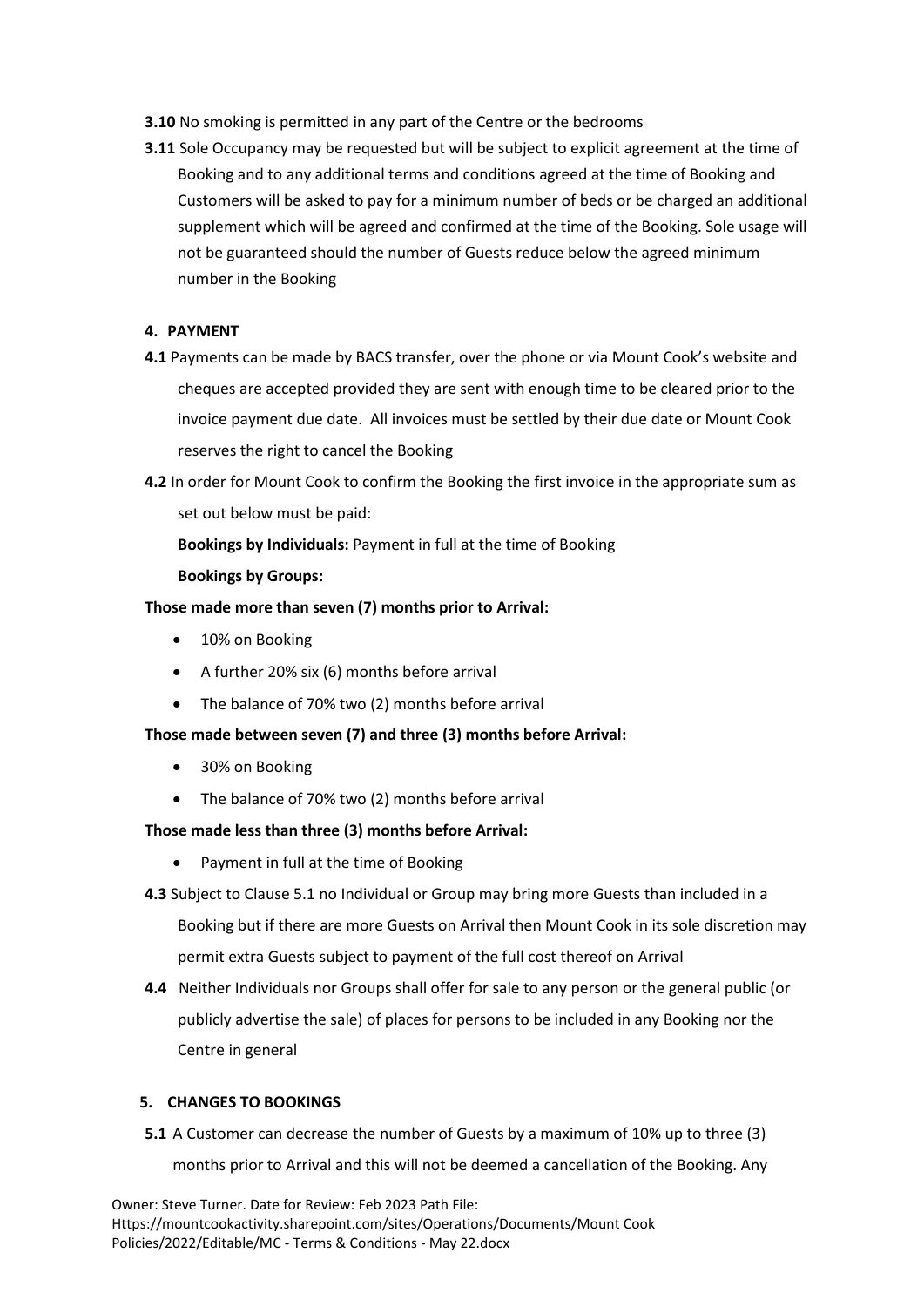- **3.10** No smoking is permitted in any part of the Centre or the bedrooms
- **3.11** Sole Occupancy may be requested but will be subject to explicit agreement at the time of Booking and to any additional terms and conditions agreed at the time of Booking and Customers will be asked to pay for a minimum number of beds or be charged an additional supplement which will be agreed and confirmed at the time of the Booking. Sole usage will not be guaranteed should the number of Guests reduce below the agreed minimum number in the Booking

## **4. PAYMENT**

- **4.1** Payments can be made by BACS transfer, over the phone or via Mount Cook's website and cheques are accepted provided they are sent with enough time to be cleared prior to the invoice payment due date. All invoices must be settled by their due date or Mount Cook reserves the right to cancel the Booking
- **4.2** In order for Mount Cook to confirm the Booking the first invoice in the appropriate sum as set out below must be paid:

**Bookings by Individuals:** Payment in full at the time of Booking

## **Bookings by Groups:**

# **Those made more than seven (7) months prior to Arrival:**

- 10% on Booking
- A further 20% six (6) months before arrival
- The balance of 70% two (2) months before arrival

# **Those made between seven (7) and three (3) months before Arrival:**

- 30% on Booking
- The balance of 70% two (2) months before arrival

#### **Those made less than three (3) months before Arrival:**

- Payment in full at the time of Booking
- **4.3** Subject to Clause 5.1 no Individual or Group may bring more Guests than included in a Booking but if there are more Guests on Arrival then Mount Cook in its sole discretion may permit extra Guests subject to payment of the full cost thereof on Arrival
- **4.4** Neither Individuals nor Groups shall offer for sale to any person or the general public (or publicly advertise the sale) of places for persons to be included in any Booking nor the Centre in general

#### **5. CHANGES TO BOOKINGS**

**5.1** A Customer can decrease the number of Guests by a maximum of 10% up to three (3) months prior to Arrival and this will not be deemed a cancellation of the Booking. Any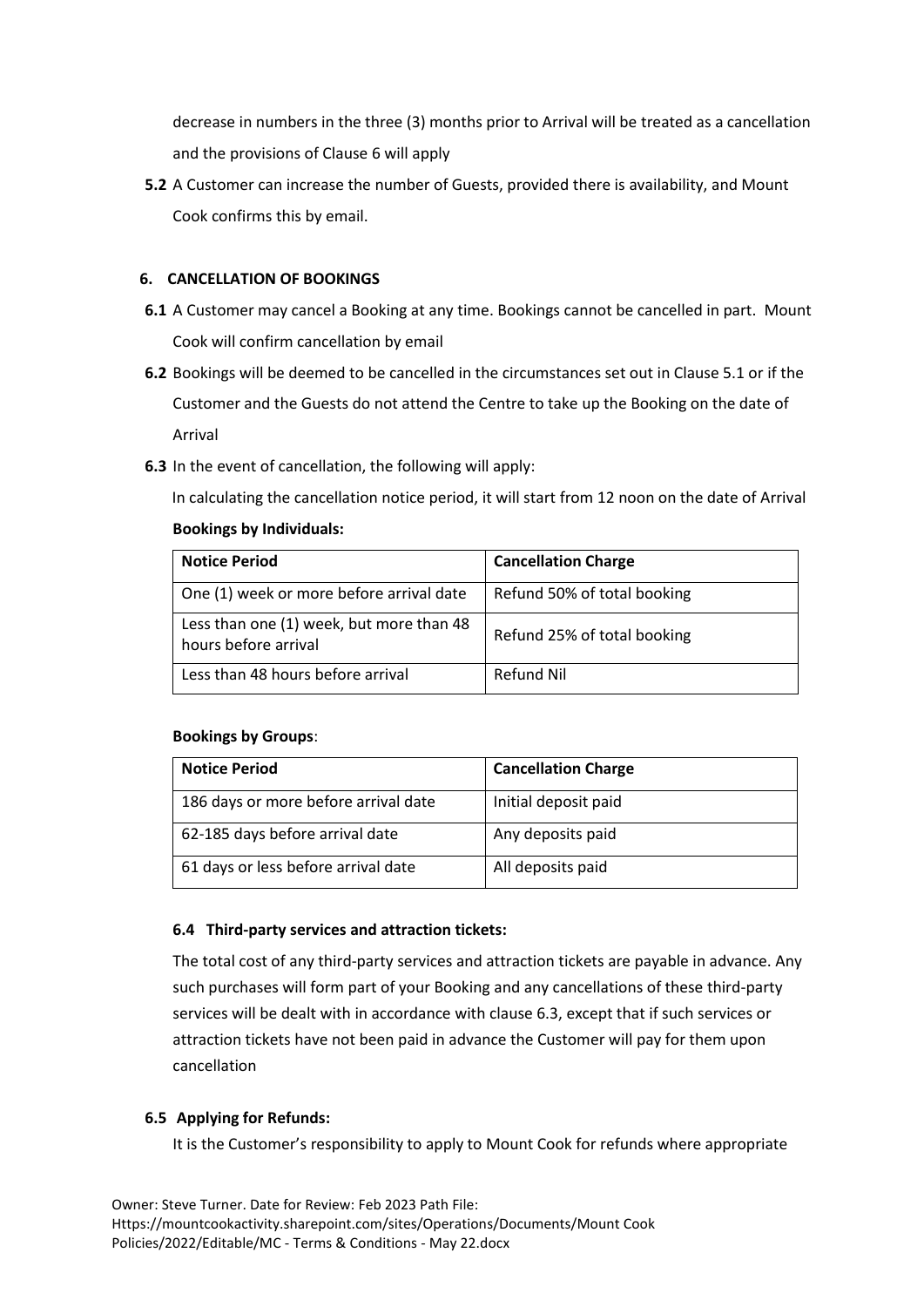decrease in numbers in the three (3) months prior to Arrival will be treated as a cancellation and the provisions of Clause 6 will apply

**5.2** A Customer can increase the number of Guests, provided there is availability, and Mount Cook confirms this by email.

# **6. CANCELLATION OF BOOKINGS**

- **6.1** A Customer may cancel a Booking at any time. Bookings cannot be cancelled in part. Mount Cook will confirm cancellation by email
- **6.2** Bookings will be deemed to be cancelled in the circumstances set out in Clause 5.1 or if the Customer and the Guests do not attend the Centre to take up the Booking on the date of Arrival
- **6.3** In the event of cancellation, the following will apply:

In calculating the cancellation notice period, it will start from 12 noon on the date of Arrival

# **Bookings by Individuals:**

| <b>Notice Period</b>                                             | <b>Cancellation Charge</b>  |
|------------------------------------------------------------------|-----------------------------|
| One (1) week or more before arrival date                         | Refund 50% of total booking |
| Less than one (1) week, but more than 48<br>hours before arrival | Refund 25% of total booking |
| Less than 48 hours before arrival                                | Refund Nil                  |

# **Bookings by Groups**:

| <b>Notice Period</b>                 | <b>Cancellation Charge</b> |
|--------------------------------------|----------------------------|
| 186 days or more before arrival date | Initial deposit paid       |
| 62-185 days before arrival date      | Any deposits paid          |
| 61 days or less before arrival date  | All deposits paid          |

# **6.4 Third-party services and attraction tickets:**

The total cost of any third-party services and attraction tickets are payable in advance. Any such purchases will form part of your Booking and any cancellations of these third-party services will be dealt with in accordance with clause 6.3, except that if such services or attraction tickets have not been paid in advance the Customer will pay for them upon cancellation

# **6.5 Applying for Refunds:**

It is the Customer's responsibility to apply to Mount Cook for refunds where appropriate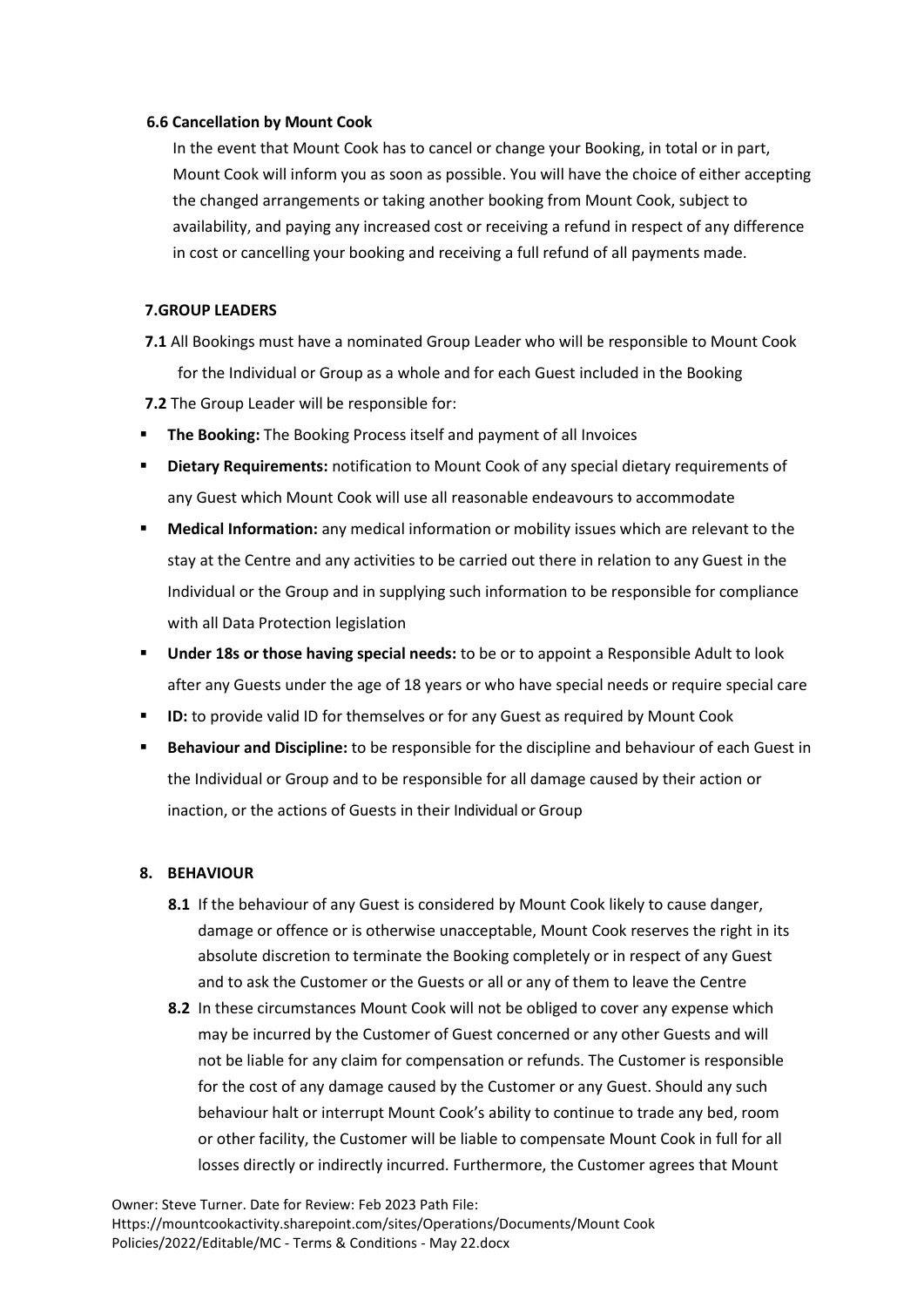#### **6.6 Cancellation by Mount Cook**

In the event that Mount Cook has to cancel or change your Booking, in total or in part, Mount Cook will inform you as soon as possible. You will have the choice of either accepting the changed arrangements or taking another booking from Mount Cook, subject to availability, and paying any increased cost or receiving a refund in respect of any difference in cost or cancelling your booking and receiving a full refund of all payments made.

## **7.GROUP LEADERS**

- **7.1** All Bookings must have a nominated Group Leader who will be responsible to Mount Cook for the Individual or Group as a whole and for each Guest included in the Booking
- **7.2** The Group Leader will be responsible for:
- **The Booking:** The Booking Process itself and payment of all Invoices
- **Dietary Requirements: notification to Mount Cook of any special dietary requirements of** any Guest which Mount Cook will use all reasonable endeavours to accommodate
- **Medical Information:** any medical information or mobility issues which are relevant to the stay at the Centre and any activities to be carried out there in relation to any Guest in the Individual or the Group and in supplying such information to be responsible for compliance with all Data Protection legislation
- **Under 18s or those having special needs:** to be or to appoint a Responsible Adult to look after any Guests under the age of 18 years or who have special needs or require special care
- **ID:** to provide valid ID for themselves or for any Guest as required by Mount Cook
- Behaviour and Discipline: to be responsible for the discipline and behaviour of each Guest in the Individual or Group and to be responsible for all damage caused by their action or inaction, or the actions of Guests in their Individual or Group

# **8. BEHAVIOUR**

- **8.1** If the behaviour of any Guest is considered by Mount Cook likely to cause danger, damage or offence or is otherwise unacceptable, Mount Cook reserves the right in its absolute discretion to terminate the Booking completely or in respect of any Guest and to ask the Customer or the Guests or all or any of them to leave the Centre
- **8.2** In these circumstances Mount Cook will not be obliged to cover any expense which may be incurred by the Customer of Guest concerned or any other Guests and will not be liable for any claim for compensation or refunds. The Customer is responsible for the cost of any damage caused by the Customer or any Guest. Should any such behaviour halt or interrupt Mount Cook's ability to continue to trade any bed, room or other facility, the Customer will be liable to compensate Mount Cook in full for all losses directly or indirectly incurred. Furthermore, the Customer agrees that Mount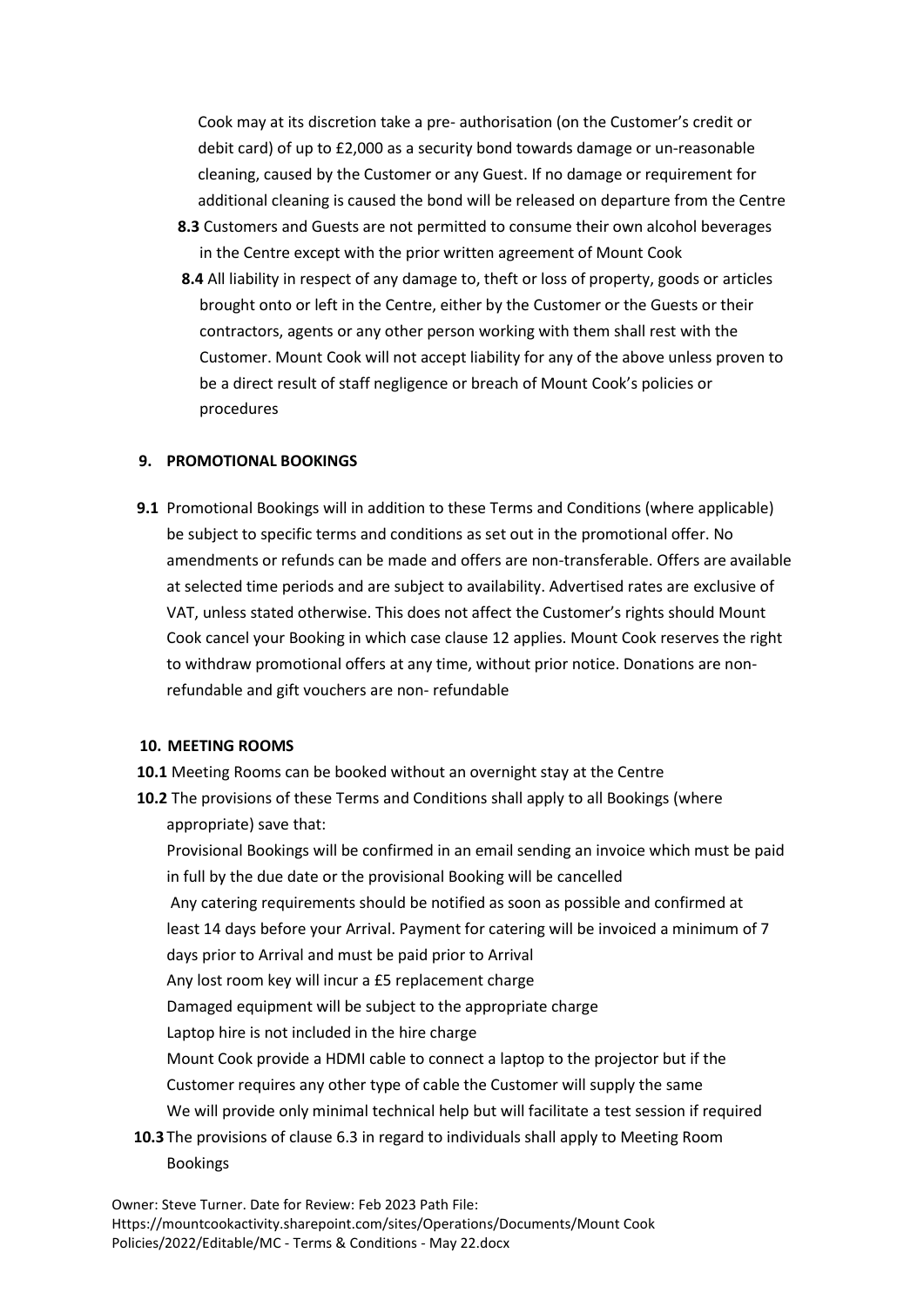Cook may at its discretion take a pre- authorisation (on the Customer's credit or debit card) of up to £2,000 as a security bond towards damage or un-reasonable cleaning, caused by the Customer or any Guest. If no damage or requirement for additional cleaning is caused the bond will be released on departure from the Centre

- **8.3** Customers and Guests are not permitted to consume their own alcohol beverages in the Centre except with the prior written agreement of Mount Cook
- **8.4** All liability in respect of any damage to, theft or loss of property, goods or articles brought onto or left in the Centre, either by the Customer or the Guests or their contractors, agents or any other person working with them shall rest with the Customer. Mount Cook will not accept liability for any of the above unless proven to be a direct result of staff negligence or breach of Mount Cook's policies or procedures

## **9. PROMOTIONAL BOOKINGS**

**9.1** Promotional Bookings will in addition to these Terms and Conditions (where applicable) be subject to specific terms and conditions as set out in the promotional offer. No amendments or refunds can be made and offers are non-transferable. Offers are available at selected time periods and are subject to availability. Advertised rates are exclusive of VAT, unless stated otherwise. This does not affect the Customer's rights should Mount Cook cancel your Booking in which case clause 12 applies. Mount Cook reserves the right to withdraw promotional offers at any time, without prior notice. Donations are nonrefundable and gift vouchers are non- refundable

#### **10. MEETING ROOMS**

- **10.1** Meeting Rooms can be booked without an overnight stay at the Centre
- **10.2** The provisions of these Terms and Conditions shall apply to all Bookings (where appropriate) save that:

Provisional Bookings will be confirmed in an email sending an invoice which must be paid in full by the due date or the provisional Booking will be cancelled

Any catering requirements should be notified as soon as possible and confirmed at least 14 days before your Arrival. Payment for catering will be invoiced a minimum of 7

days prior to Arrival and must be paid prior to Arrival

Any lost room key will incur a £5 replacement charge

Damaged equipment will be subject to the appropriate charge

Laptop hire is not included in the hire charge

Mount Cook provide a HDMI cable to connect a laptop to the projector but if the Customer requires any other type of cable the Customer will supply the same

We will provide only minimal technical help but will facilitate a test session if required

**10.3** The provisions of clause 6.3 in regard to individuals shall apply to Meeting Room Bookings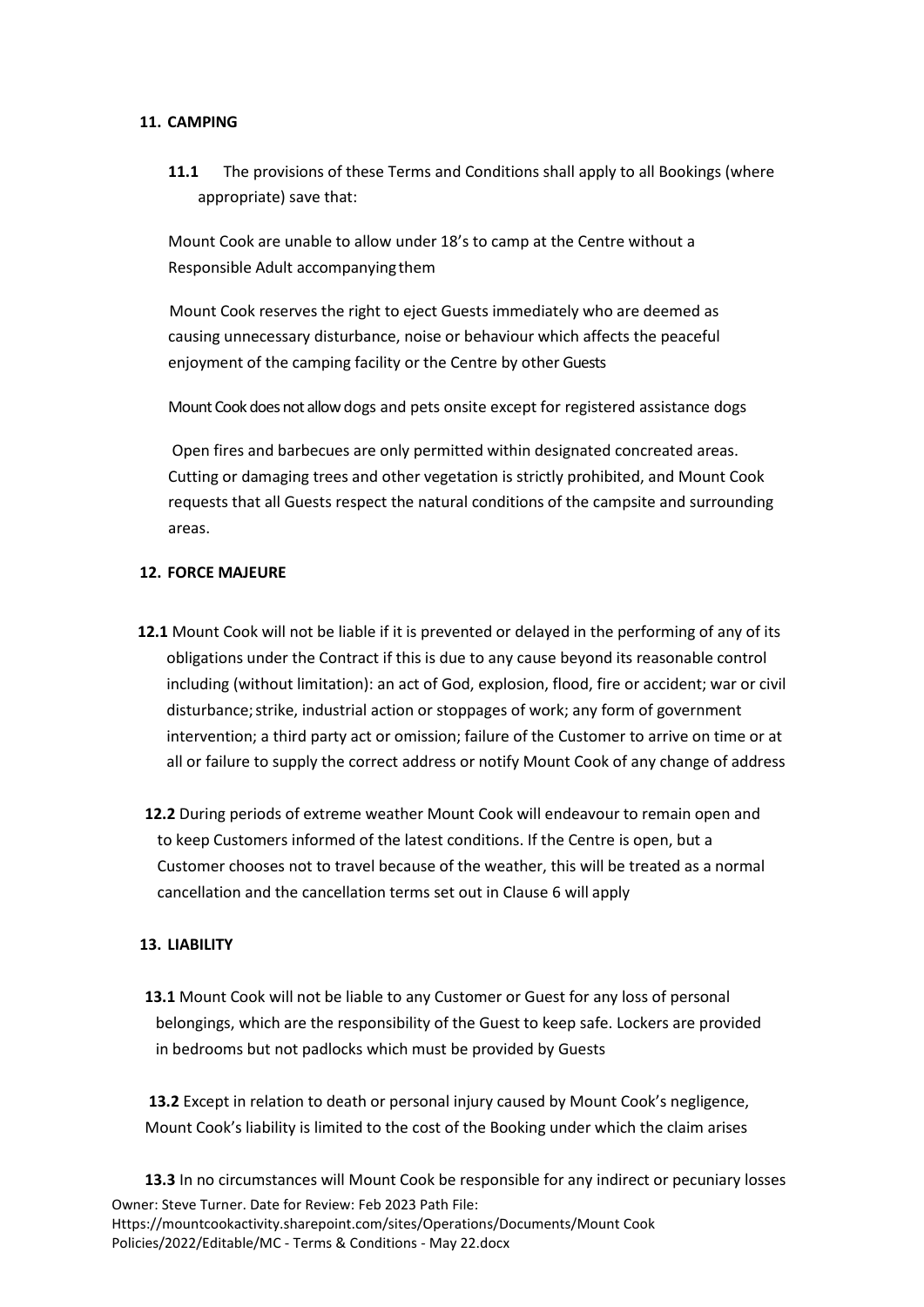#### **11. CAMPING**

**11.1** The provisions of these Terms and Conditions shall apply to all Bookings (where appropriate) save that:

Mount Cook are unable to allow under 18's to camp at the Centre without a Responsible Adult accompanyingthem

Mount Cook reserves the right to eject Guests immediately who are deemed as causing unnecessary disturbance, noise or behaviour which affects the peaceful enjoyment of the camping facility or the Centre by other Guests

Mount Cook does not allow dogs and pets onsite except for registered assistance dogs

Open fires and barbecues are only permitted within designated concreated areas. Cutting or damaging trees and other vegetation is strictly prohibited, and Mount Cook requests that all Guests respect the natural conditions of the campsite and surrounding areas.

## **12. FORCE MAJEURE**

- **12.1** Mount Cook will not be liable if it is prevented or delayed in the performing of any of its obligations under the Contract if this is due to any cause beyond its reasonable control including (without limitation): an act of God, explosion, flood, fire or accident; war or civil disturbance;strike, industrial action or stoppages of work; any form of government intervention; a third party act or omission; failure of the Customer to arrive on time or at all or failure to supply the correct address or notify Mount Cook of any change of address
- **12.2** During periods of extreme weather Mount Cook will endeavour to remain open and to keep Customers informed of the latest conditions. If the Centre is open, but a Customer chooses not to travel because of the weather, this will be treated as a normal cancellation and the cancellation terms set out in Clause 6 will apply

# **13. LIABILITY**

**13.1** Mount Cook will not be liable to any Customer or Guest for any loss of personal belongings, which are the responsibility of the Guest to keep safe. Lockers are provided in bedrooms but not padlocks which must be provided by Guests

**13.2** Except in relation to death or personal injury caused by Mount Cook's negligence, Mount Cook's liability is limited to the cost of the Booking under which the claim arises

Owner: Steve Turner. Date for Review: Feb 2023 Path File: Https://mountcookactivity.sharepoint.com/sites/Operations/Documents/Mount Cook Policies/2022/Editable/MC - Terms & Conditions - May 22.docx **13.3** In no circumstances will Mount Cook be responsible for any indirect or pecuniary losses